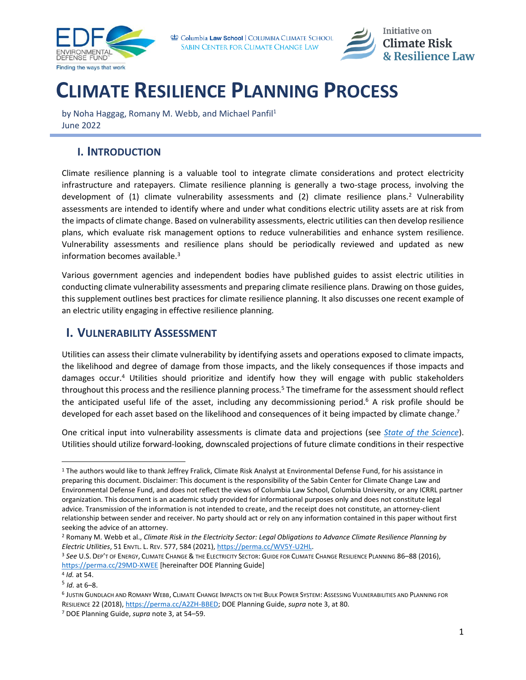

Columbia Law School | COLUMBIA CLIMATE SCHOOL SABIN CENTER FOR CLIMATE CHANGE LAW

<span id="page-0-1"></span>

# **CLIMATE RESILIENCE PLANNING PROCESS**

by Noha Haggag, Romany M. Webb, and Michael Panfil<sup>1</sup> June 2022

### **I. INTRODUCTION**

Climate resilience planning is a valuable tool to integrate climate considerations and protect electricity infrastructure and ratepayers. Climate resilience planning is generally a two-stage process, involving the development of (1) climate vulnerability assessments and (2) climate resilience plans.<sup>2</sup> Vulnerability assessments are intended to identify where and under what conditions electric utility assets are at risk from the impacts of climate change. Based on vulnerability assessments, electric utilities can then develop resilience plans, which evaluate risk management options to reduce vulnerabilities and enhance system resilience. Vulnerability assessments and resilience plans should be periodically reviewed and updated as new information becomes available.<sup>3</sup>

<span id="page-0-0"></span>Various government agencies and independent bodies have published guides to assist electric utilities in conducting climate vulnerability assessments and preparing climate resilience plans. Drawing on those guides, this supplement outlines best practices for climate resilience planning. It also discusses one recent example of an electric utility engaging in effective resilience planning.

## **I. VULNERABILITY ASSESSMENT**

Utilities can assess their climate vulnerability by identifying assets and operations exposed to climate impacts, the likelihood and degree of damage from those impacts, and the likely consequences if those impacts and damages occur.<sup>4</sup> Utilities should prioritize and identify how they will engage with public stakeholders throughout this process and the resilience planning process.<sup>5</sup> The timeframe for the assessment should reflect the anticipated useful life of the asset, including any decommissioning period.<sup>6</sup> A risk profile should be developed for each asset based on the likelihood and consequences of it being impacted by climate change.<sup>7</sup>

One critical input into vulnerability assessments is climate data and projections (see *[State of the Science](https://www.icrrl.org/files/2022/06/State-of-the-Science-Supplement.pdf)*). Utilities should utilize forward-looking, downscaled projections of future climate conditions in their respective

<sup>1</sup> The authors would like to thank Jeffrey Fralick, Climate Risk Analyst at Environmental Defense Fund, for his assistance in preparing this document. Disclaimer: This document is the responsibility of the Sabin Center for Climate Change Law and Environmental Defense Fund, and does not reflect the views of Columbia Law School, Columbia University, or any ICRRL partner organization. This document is an academic study provided for informational purposes only and does not constitute legal advice. Transmission of the information is not intended to create, and the receipt does not constitute, an attorney-client relationship between sender and receiver. No party should act or rely on any information contained in this paper without first seeking the advice of an attorney.

<sup>2</sup> Romany M. Webb et al., *Climate Risk in the Electricity Sector: Legal Obligations to Advance Climate Resilience Planning by Electric Utilities*, 51 ENVTL. L. REV. 577, 584 (2021)[, https://perma.cc/WV5Y-U2HL.](https://perma.cc/WV5Y-U2HL)

<sup>3</sup> *See* U.S. DEP'T OF ENERGY, CLIMATE CHANGE & THE ELECTRICITY SECTOR: GUIDE FOR CLIMATE CHANGE RESILIENCE PLANNING 86–88 (2016), <https://perma.cc/29MD-XWEE> [hereinafter DOE Planning Guide]

<sup>4</sup> *Id.* at 54.

<sup>5</sup> *Id.* at 6–8.

<sup>6</sup> JUSTIN GUNDLACH AND ROMANY WEBB, CLIMATE CHANGE IMPACTS ON THE BULK POWER SYSTEM: ASSESSING VULNERABILITIES AND PLANNING FOR RESILIENCE 22 (2018)[, https://perma.cc/A2ZH-BBED;](https://perma.cc/A2ZH-BBED) DOE Planning Guide, *supra* not[e 3,](#page-0-0) at 80.

<sup>7</sup> DOE Planning Guide, *supra* not[e 3,](#page-0-0) at 54–59.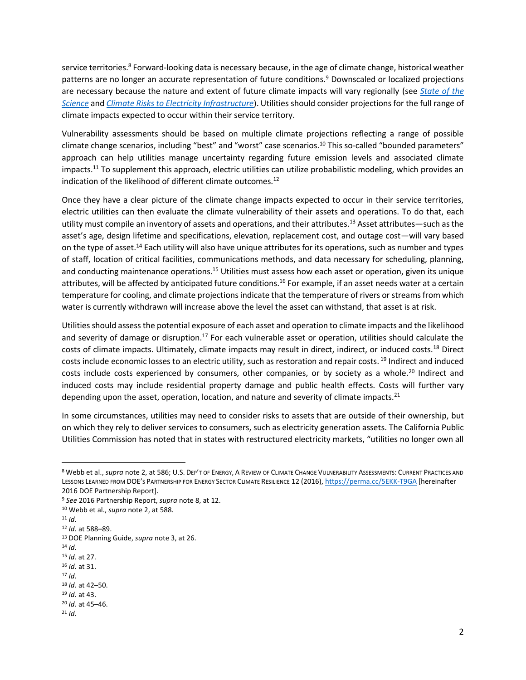<span id="page-1-0"></span>service territories.<sup>8</sup> Forward-looking data is necessary because, in the age of climate change, historical weather patterns are no longer an accurate representation of future conditions.<sup>9</sup> Downscaled or localized projections are necessary because the nature and extent of future climate impacts will vary regionally (see *[State of the](https://www.icrrl.org/files/2022/06/State-of-the-Science-Supplement.pdf)  [Science](https://www.icrrl.org/files/2022/06/State-of-the-Science-Supplement.pdf)* and *[Climate Risks to Electricity Infrastructure](https://www.icrrl.org/files/2022/06/Climate-Risks-to-Electricity-Infrastructure-Supplement.pdf)*). Utilities should consider projections for the full range of climate impacts expected to occur within their service territory.

Vulnerability assessments should be based on multiple climate projections reflecting a range of possible climate change scenarios, including "best" and "worst" case scenarios.<sup>10</sup> This so-called "bounded parameters" approach can help utilities manage uncertainty regarding future emission levels and associated climate impacts.<sup>11</sup> To supplement this approach, electric utilities can utilize probabilistic modeling, which provides an indication of the likelihood of different climate outcomes.<sup>12</sup>

Once they have a clear picture of the climate change impacts expected to occur in their service territories, electric utilities can then evaluate the climate vulnerability of their assets and operations. To do that, each utility must compile an inventory of assets and operations, and their attributes.<sup>13</sup> Asset attributes—such as the asset's age, design lifetime and specifications, elevation, replacement cost, and outage cost—will vary based on the type of asset.<sup>14</sup> Each utility will also have unique attributes for its operations, such as number and types of staff, location of critical facilities, communications methods, and data necessary for scheduling, planning, and conducting maintenance operations.<sup>15</sup> Utilities must assess how each asset or operation, given its unique attributes, will be affected by anticipated future conditions.<sup>16</sup> For example, if an asset needs water at a certain temperature for cooling, and climate projections indicate that the temperature of rivers or streams from which water is currently withdrawn will increase above the level the asset can withstand, that asset is at risk.

Utilities should assess the potential exposure of each asset and operation to climate impacts and the likelihood and severity of damage or disruption.<sup>17</sup> For each vulnerable asset or operation, utilities should calculate the costs of climate impacts. Ultimately, climate impacts may result in direct, indirect, or induced costs.<sup>18</sup> Direct costs include economic losses to an electric utility, such as restoration and repair costs. <sup>19</sup> Indirect and induced costs include costs experienced by consumers, other companies, or by society as a whole.<sup>20</sup> Indirect and induced costs may include residential property damage and public health effects. Costs will further vary depending upon the asset, operation, location, and nature and severity of climate impacts.<sup>21</sup>

In some circumstances, utilities may need to consider risks to assets that are outside of their ownership, but on which they rely to deliver services to consumers, such as electricity generation assets. The California Public Utilities Commission has noted that in states with restructured electricity markets, "utilities no longer own all

- <sup>15</sup> *Id*. at 27.
- <sup>16</sup> *Id.* at 31.

<sup>8</sup> Webb et al., *supra* not[e 2,](#page-0-1) at 586; U.S. DEP'T OF ENERGY, A REVIEW OF CLIMATE CHANGE VULNERABILITY ASSESSMENTS: CURRENT PRACTICES AND LESSONS LEARNED FROM DOE'S PARTNERSHIP FOR ENERGY SECTOR CLIMATE RESILIENCE 12 (2016)[, https://perma.cc/5EKK-T9GA](https://perma.cc/5EKK-T9GA) [hereinafter 2016 DOE Partnership Report].

<sup>9</sup> *See* 2016 Partnership Report, *supra* not[e 8,](#page-1-0) at 12.

<sup>10</sup> Webb et al., *supra* not[e 2,](#page-0-1) at 588.

 $11$  *Id.* 

<sup>12</sup> *Id.* at 588–89.

<sup>13</sup> DOE Planning Guide, *supra* not[e 3,](#page-0-0) at 26.

<sup>14</sup> *Id.*

<sup>17</sup> *Id.* <sup>18</sup> *Id.* at 42–50.

<sup>19</sup> *Id.* at 43.

<sup>20</sup> *Id.* at 45–46.

<sup>21</sup> *Id.*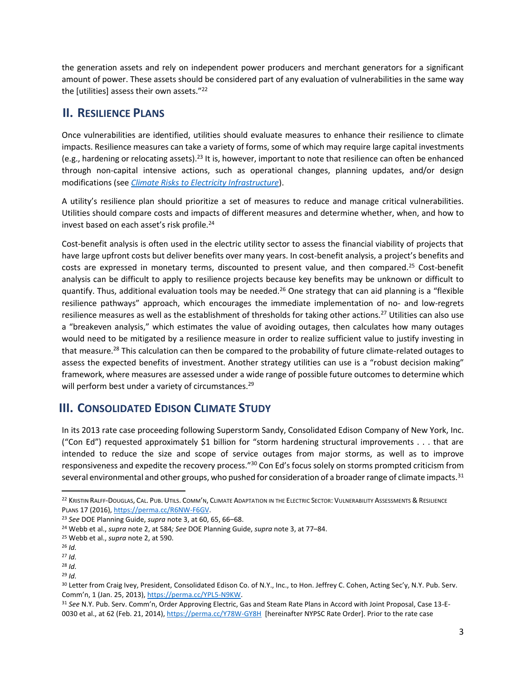the generation assets and rely on independent power producers and merchant generators for a significant amount of power. These assets should be considered part of any evaluation of vulnerabilities in the same way the [utilities] assess their own assets."<sup>22</sup>

#### **II. RESILIENCE PLANS**

Once vulnerabilities are identified, utilities should evaluate measures to enhance their resilience to climate impacts. Resilience measures can take a variety of forms, some of which may require large capital investments (e.g., hardening or relocating assets).<sup>23</sup> It is, however, important to note that resilience can often be enhanced through non-capital intensive actions, such as operational changes, planning updates, and/or design modifications (see *[Climate Risks to Electricity Infrastructure](https://www.icrrl.org/files/2022/06/Climate-Risks-to-Electricity-Infrastructure-Supplement.pdf)*).

A utility's resilience plan should prioritize a set of measures to reduce and manage critical vulnerabilities. Utilities should compare costs and impacts of different measures and determine whether, when, and how to invest based on each asset's risk profile.<sup>24</sup>

Cost-benefit analysis is often used in the electric utility sector to assess the financial viability of projects that have large upfront costs but deliver benefits over many years. In cost-benefit analysis, a project's benefits and costs are expressed in monetary terms, discounted to present value, and then compared.<sup>25</sup> Cost-benefit analysis can be difficult to apply to resilience projects because key benefits may be unknown or difficult to quantify. Thus, additional evaluation tools may be needed.<sup>26</sup> One strategy that can aid planning is a "flexible resilience pathways" approach, which encourages the immediate implementation of no- and low-regrets resilience measures as well as the establishment of thresholds for taking other actions.<sup>27</sup> Utilities can also use a "breakeven analysis," which estimates the value of avoiding outages, then calculates how many outages would need to be mitigated by a resilience measure in order to realize sufficient value to justify investing in that measure.<sup>28</sup> This calculation can then be compared to the probability of future climate-related outages to assess the expected benefits of investment. Another strategy utilities can use is a "robust decision making" framework, where measures are assessed under a wide range of possible future outcomes to determine which will perform best under a variety of circumstances.<sup>29</sup>

## **III. CONSOLIDATED EDISON CLIMATE STUDY**

In its 2013 rate case proceeding following Superstorm Sandy, Consolidated Edison Company of New York, Inc. ("Con Ed") requested approximately \$1 billion for "storm hardening structural improvements  $\dots$  that are intended to reduce the size and scope of service outages from major storms, as well as to improve responsiveness and expedite the recovery process."<sup>30</sup> Con Ed's focus solely on storms prompted criticism from several environmental and other groups, who pushed for consideration of a broader range of climate impacts.<sup>31</sup>

<sup>&</sup>lt;sup>22</sup> KRISTIN RALFF-DOUGLAS, CAL. PUB. UTILS. COMM'N, CLIMATE ADAPTATION IN THE ELECTRIC SECTOR: VULNERABILITY ASSESSMENTS & RESILIENCE PLANS 17 (2016)[, https://perma.cc/R6NW-F6GV.](https://perma.cc/R6NW-F6GV)

<sup>23</sup> *See* DOE Planning Guide, *supra* note [3,](#page-0-0) at 60, 65, 66–68.

<sup>24</sup> Webb et al., *supra* not[e 2,](#page-0-1) at 584*; See* DOE Planning Guide, *supra* note [3,](#page-0-0) at 77–84.

<sup>25</sup> Webb et al., *supra* not[e 2,](#page-0-1) at 590.

<sup>26</sup> *Id.*

<sup>27</sup> *Id.*

<sup>28</sup> *Id.*

<sup>29</sup> *Id.*

<sup>30</sup> Letter from Craig Ivey, President, Consolidated Edison Co. of N.Y., Inc., to Hon. Jeffrey C. Cohen, Acting Sec'y, N.Y. Pub. Serv. Comm'n, 1 (Jan. 25, 2013)[, https://perma.cc/YPL5-N9KW.](https://perma.cc/YPL5-N9KW)

<sup>31</sup> *See* N.Y. Pub. Serv. Comm'n, Order Approving Electric, Gas and Steam Rate Plans in Accord with Joint Proposal, Case 13-E-0030 et al., at 62 (Feb. 21, 2014)[, https://perma.cc/Y78W-GY8H](https://perma.cc/Y78W-GY8H) [hereinafter NYPSC Rate Order]. Prior to the rate case